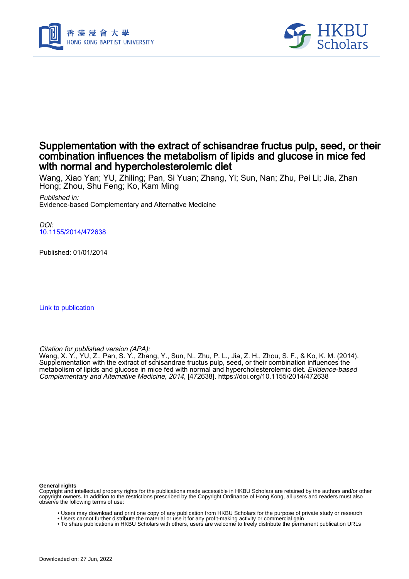



# Supplementation with the extract of schisandrae fructus pulp, seed, or their combination influences the metabolism of lipids and glucose in mice fed with normal and hypercholesterolemic diet

Wang, Xiao Yan; YU, Zhiling; Pan, Si Yuan; Zhang, Yi; Sun, Nan; Zhu, Pei Li; Jia, Zhan Hong; Zhou, Shu Feng; Ko, Kam Ming

Published in: Evidence-based Complementary and Alternative Medicine

 $D$ [10.1155/2014/472638](https://doi.org/10.1155/2014/472638)

Published: 01/01/2014

[Link to publication](https://scholars.hkbu.edu.hk/en/publications/90726eeb-e7de-4c2a-a754-2c068f9a27d0)

Citation for published version (APA):

Wang, X. Y., YU, Z., Pan, S. Y., Zhang, Y., Sun, N., Zhu, P. L., Jia, Z. H., Zhou, S. F., & Ko, K. M. (2014). Supplementation with the extract of schisandrae fructus pulp, seed, or their combination influences the metabolism of lipids and glucose in mice fed with normal and hypercholesterolemic diet. *Evidence-based* Complementary and Alternative Medicine, 2014, [472638]. <https://doi.org/10.1155/2014/472638>

#### **General rights**

Copyright and intellectual property rights for the publications made accessible in HKBU Scholars are retained by the authors and/or other copyright owners. In addition to the restrictions prescribed by the Copyright Ordinance of Hong Kong, all users and readers must also observe the following terms of use:

- Users may download and print one copy of any publication from HKBU Scholars for the purpose of private study or research
- Users cannot further distribute the material or use it for any profit-making activity or commercial gain
- To share publications in HKBU Scholars with others, users are welcome to freely distribute the permanent publication URLs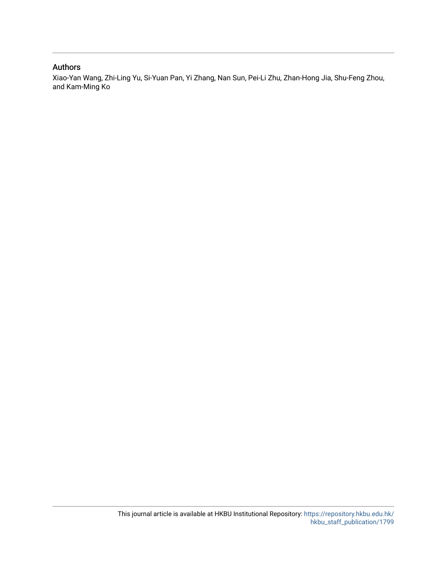# Authors

Xiao-Yan Wang, Zhi-Ling Yu, Si-Yuan Pan, Yi Zhang, Nan Sun, Pei-Li Zhu, Zhan-Hong Jia, Shu-Feng Zhou, and Kam-Ming Ko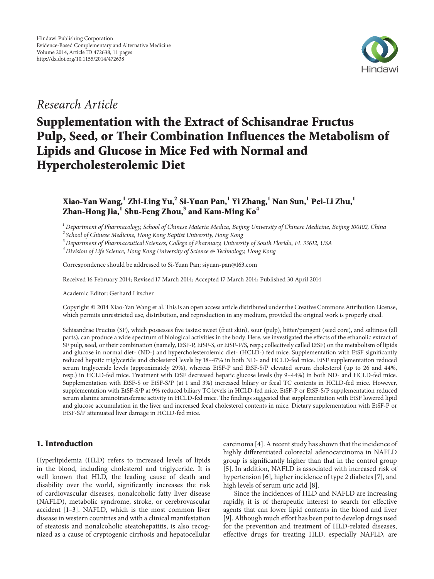

# *Research Article*

# **Supplementation with the Extract of Schisandrae Fructus Pulp, Seed, or Their Combination Influences the Metabolism of Lipids and Glucose in Mice Fed with Normal and Hypercholesterolemic Diet**

**Xiao-Yan Wang,1 Zhi-Ling Yu,2 Si-Yuan Pan,1 Yi Zhang,<sup>1</sup> Nan Sun,1 Pei-Li Zhu,1 Zhan-Hong Jia,1 Shu-Feng Zhou,3 and Kam-Ming Ko4**

*<sup>1</sup> Department of Pharmacology, School of Chinese Materia Medica, Beijing University of Chinese Medicine, Beijing 100102, China*

*<sup>2</sup> School of Chinese Medicine, Hong Kong Baptist University, Hong Kong*

*<sup>3</sup> Department of Pharmaceutical Sciences, College of Pharmacy, University of South Florida, FL 33612, USA*

*<sup>4</sup> Division of Life Science, Hong Kong University of Science & Technology, Hong Kong*

Correspondence should be addressed to Si-Yuan Pan; siyuan-pan@163.com

Received 16 February 2014; Revised 17 March 2014; Accepted 17 March 2014; Published 30 April 2014

Academic Editor: Gerhard Litscher

Copyright © 2014 Xiao-Yan Wang et al.This is an open access article distributed under the Creative Commons Attribution License, which permits unrestricted use, distribution, and reproduction in any medium, provided the original work is properly cited.

Schisandrae Fructus (SF), which possesses five tastes: sweet (fruit skin), sour (pulp), bitter/pungent (seed core), and saltiness (all parts), can produce a wide spectrum of biological activities in the body. Here, we investigated the effects of the ethanolic extract of SF pulp, seed, or their combination (namely, EtSF-P, EtSF-S, or EtSF-P/S, resp.; collectively called EtSF) on the metabolism of lipids and glucose in normal diet- (ND-) and hypercholesterolemic diet- (HCLD-) fed mice. Supplementation with EtSF significantly reduced hepatic triglyceride and cholesterol levels by 18–47% in both ND- and HCLD-fed mice. EtSF supplementation reduced serum triglyceride levels (approximately 29%), whereas EtSF-P and EtSF-S/P elevated serum cholesterol (up to 26 and 44%, resp.) in HCLD-fed mice. Treatment with EtSF decreased hepatic glucose levels (by 9–44%) in both ND- and HCLD-fed mice. Supplementation with EtSF-S or EtSF-S/P (at 1 and 3%) increased biliary or fecal TC contents in HCLD-fed mice. However, supplementation with EtSF-S/P at 9% reduced biliary TC levels in HCLD-fed mice. EtSF-P or EtSF-S/P supplementation reduced serum alanine aminotransferase activity in HCLD-fed mice. The findings suggested that supplementation with EtSF lowered lipid and glucose accumulation in the liver and increased fecal cholesterol contents in mice. Dietary supplementation with EtSF-P or EtSF-S/P attenuated liver damage in HCLD-fed mice.

# **1. Introduction**

Hyperlipidemia (HLD) refers to increased levels of lipids in the blood, including cholesterol and triglyceride. It is well known that HLD, the leading cause of death and disability over the world, significantly increases the risk of cardiovascular diseases, nonalcoholic fatty liver disease (NAFLD), metabolic syndrome, stroke, or cerebrovascular accident [1–3]. NAFLD, which is the most common liver disease in western countries and with a clinical manifestation of steatosis and nonalcoholic steatohepatitis, is also recognized as a cause of cryptogenic cirrhosis and hepatocellular carcinoma [4]. A recent study has shown that the incidence of highly differentiated colorectal adenocarcinoma in NAFLD group is significantly higher than that in the control group [5]. In addition, NAFLD is associated with increased risk of hypertension [6], higher incidence of type 2 diabetes [7], and high levels of serum uric acid [8].

Since the incidences of HLD and NAFLD are increasing rapidly, it is of therapeutic interest to search for effective agents that can lower lipid contents in the blood and liver [9]. Although much effort has been put to develop drugs used for the prevention and treatment of HLD-related diseases, effective drugs for treating HLD, especially NAFLD, are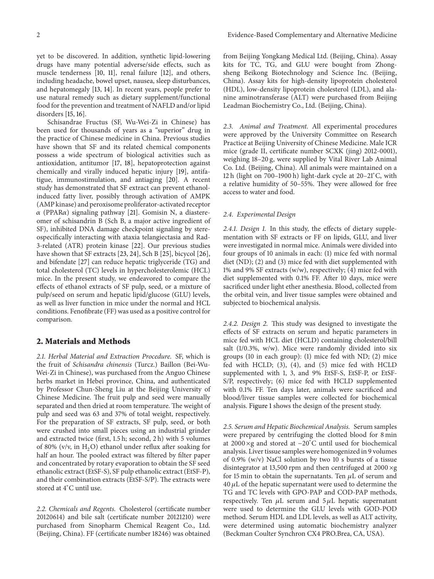yet to be discovered. In addition, synthetic lipid-lowering drugs have many potential adverse/side effects, such as muscle tenderness [10, 11], renal failure [12], and others, including headache, bowel upset, nausea, sleep disturbances, and hepatomegaly [13, 14]. In recent years, people prefer to use natural remedy such as dietary supplement/functional food for the prevention and treatment of NAFLD and/or lipid disorders [15, 16].

Schisandrae Fructus (SF, Wu-Wei-Zi in Chinese) has been used for thousands of years as a "superior" drug in the practice of Chinese medicine in China. Previous studies have shown that SF and its related chemical components possess a wide spectrum of biological activities such as antioxidation, antitumor [17, 18], hepatoprotection against chemically and virally induced hepatic injury [19], antifatigue, immunostimulation, and antiaging [20]. A recent study has demonstrated that SF extract can prevent ethanolinduced fatty liver, possibly through activation of AMPK (AMP kinase) and peroxisome proliferator-activated receptor  $\alpha$  (PPAR $\alpha$ ) signaling pathway [21]. Gomisin N, a diastereomer of schisandrin B (Sch B, a major active ingredient of SF), inhibited DNA damage checkpoint signaling by stereospecifically interacting with ataxia telangiectasia and Rad-3-related (ATR) protein kinase [22]. Our previous studies have shown that SF extracts [23, 24], Sch B [25], bicycol [26], and bifendate [27] can reduce hepatic triglyceride (TG) and total cholesterol (TC) levels in hypercholesterolemic (HCL) mice. In the present study, we endeavored to compare the effects of ethanol extracts of SF pulp, seed, or a mixture of pulp/seed on serum and hepatic lipid/glucose (GLU) levels, as well as liver function in mice under the normal and HCL conditions. Fenofibrate (FF) was used as a positive control for comparison.

## **2. Materials and Methods**

*2.1. Herbal Material and Extraction Procedure.* SF, which is the fruit of *Schisandra chinensis* (Turcz.) Baillon (Bei-Wu-Wei-Zi in Chinese), was purchased from the Anguo Chinese herbs market in Hebei province, China, and authenticated by Professor Chun-Sheng Liu at the Beijing University of Chinese Medicine. The fruit pulp and seed were manually separated and then dried at room temperature. The weight of pulp and seed was 63 and 37% of total weight, respectively. For the preparation of SF extracts, SF pulp, seed, or both were crushed into small pieces using an industrial grinder and extracted twice (first, 1.5 h; second, 2 h) with 5 volumes of 80% (v/v, in  $H_2O$ ) ethanol under reflux after soaking for half an hour. The pooled extract was filtered by filter paper and concentrated by rotary evaporation to obtain the SF seed ethanolic extract (EtSF-S), SF pulp ethanolic extract (EtSF-P), and their combination extracts (EtSF-S/P). The extracts were stored at 4<sup>∘</sup> C until use.

*2.2. Chemicals and Regents.* Cholesterol (certificate number 20120614) and bile salt (certificate number 20121210) were purchased from Sinopharm Chemical Reagent Co., Ltd. (Beijing, China). FF (certificate number 18246) was obtained from Beijing Yongkang Medical Ltd. (Beijing, China). Assay kits for TC, TG, and GLU were bought from Zhongsheng Beikong Biotechnology and Science Inc. (Beijing, China). Assay kits for high-density lipoprotein cholesterol (HDL), low-density lipoprotein cholesterol (LDL), and alanine aminotransferase (ALT) were purchased from Beijing Leadman Biochemistry Co., Ltd. (Beijing, China).

*2.3. Animal and Treatment.* All experimental procedures were approved by the University Committee on Research Practice at Beijing University of Chinese Medicine. Male ICR mice (grade II, certificate number SCXK (jing) 2012-0001), weighing 18–20 g, were supplied by Vital River Lab Animal Co. Ltd. (Beijing, China). All animals were maintained on a 12 h (light on 700–1900 h) light-dark cycle at 20–21<sup>∘</sup> C, with a relative humidity of 50–55%. They were allowed for free access to water and food.

#### *2.4. Experimental Design*

*2.4.1. Design 1.* In this study, the effects of dietary supplementation with SF extracts or FF on lipids, GLU, and liver were investigated in normal mice. Animals were divided into four groups of 10 animals in each: (1) mice fed with normal diet (ND); (2) and (3) mice fed with diet supplemented with 1% and 9% SF extracts (w/w), respectively; (4) mice fed with diet supplemented with 0.1% FF. After 10 days, mice were sacrificed under light ether anesthesia. Blood, collected from the orbital vein, and liver tissue samples were obtained and subjected to biochemical analysis.

*2.4.2. Design 2.* This study was designed to investigate the effects of SF extracts on serum and hepatic parameters in mice fed with HCL diet (HCLD) containing cholesterol/bill salt (1/0.3%, w/w). Mice were randomly divided into six groups (10 in each group): (1) mice fed with ND; (2) mice fed with HCLD; (3), (4), and (5) mice fed with HCLD supplemented with 1, 3, and 9% EtSF-S, EtSF-P, or EtSF-S/P, respectively; (6) mice fed with HCLD supplemented with 0.1% FF. Ten days later, animals were sacrificed and blood/liver tissue samples were collected for biochemical analysis. Figure 1 shows the design of the present study.

*2.5. Serum and Hepatic Biochemical Analysis.* Serum samples were prepared by centrifuging the clotted blood for 8 min at 2000 ×g and stored at −20<sup>∘</sup> C until used for biochemical analysis. Liver tissue samples were homogenized in 9 volumes of 0.9% (w/v) NaCl solution by two 10 s bursts of a tissue disintegrator at 13,500 rpm and then centrifuged at 2000 ×g for 15 min to obtain the supernatants. Ten  $\mu$ L of serum and  $40 \mu L$  of the hepatic supernatant were used to determine the TG and TC levels with GPO-PAP and COD-PAP methods, respectively. Ten  $\mu$ L serum and  $5 \mu$ L hepatic supernatant were used to determine the GLU levels with GOD-POD method. Serum HDL and LDL levels, as well as ALT activity, were determined using automatic biochemistry analyzer (Beckman Coulter Synchron CX4 PRO.Brea, CA, USA).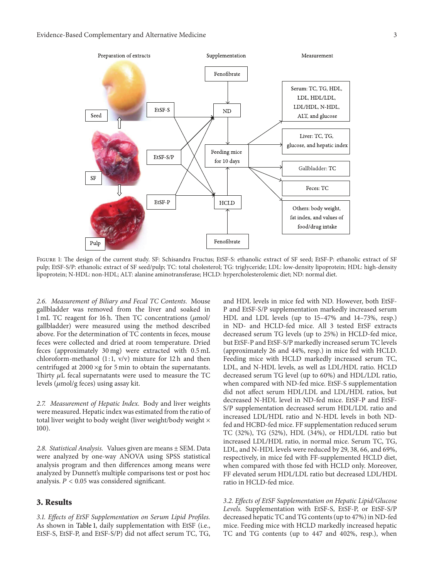

Figure 1: The design of the current study. SF: Schisandra Fructus; EtSF-S: ethanolic extract of SF seed; EtSF-P: ethanolic extract of SF pulp; EtSF-S/P: ethanolic extract of SF seed/pulp; TC: total cholesterol; TG: triglyceride; LDL: low-density lipoprotein; HDL: high-density lipoprotein; N-HDL: non-HDL; ALT: alanine aminotransferase; HCLD: hypercholesterolemic diet; ND: normal diet.

*2.6. Measurement of Biliary and Fecal TC Contents.* Mouse gallbladder was removed from the liver and soaked in 1 mL TC reagent for 16 h. Then TC concentrations  $(\mu \text{mol})$ gallbladder) were measured using the method described above. For the determination of TC contents in feces, mouse feces were collected and dried at room temperature. Dried feces (approximately 30 mg) were extracted with 0.5 mL chloroform-methanol  $(1:1, v/v)$  mixture for 12 h and then centrifuged at 2000 ×g for 5 min to obtain the supernatants. Thirty  $\mu$ L fecal supernatants were used to measure the TC levels  $(\mu \text{mol/g feces})$  using assay kit.

*2.7. Measurement of Hepatic Index.* Body and liver weights were measured. Hepatic index was estimated from the ratio of total liver weight to body weight (liver weight/body weight  $\times$ 100).

*2.8. Statistical Analysis.* Values given are means ± SEM. Data were analyzed by one-way ANOVA using SPSS statistical analysis program and then differences among means were analyzed by Dunnett's multiple comparisons test or post hoc analysis.  $P < 0.05$  was considered significant.

# **3. Results**

*3.1. Effects of EtSF Supplementation on Serum Lipid Profiles.* As shown in Table 1, daily supplementation with EtSF (i.e., EtSF-S, EtSF-P, and EtSF-S/P) did not affect serum TC, TG, and HDL levels in mice fed with ND. However, both EtSF-P and EtSF-S/P supplementation markedly increased serum HDL and LDL levels (up to 15–47% and 14–73%, resp.) in ND- and HCLD-fed mice. All 3 tested EtSF extracts decreased serum TG levels (up to 25%) in HCLD-fed mice, but EtSF-P and EtSF-S/P markedly increased serum TC levels (approximately 26 and 44%, resp.) in mice fed with HCLD. Feeding mice with HCLD markedly increased serum TC, LDL, and N-HDL levels, as well as LDL/HDL ratio. HCLD decreased serum TG level (up to 60%) and HDL/LDL ratio, when compared with ND-fed mice. EtSF-S supplementation did not affect serum HDL/LDL and LDL/HDL ratios, but decreased N-HDL level in ND-fed mice. EtSF-P and EtSF-S/P supplementation decreased serum HDL/LDL ratio and increased LDL/HDL ratio and N-HDL levels in both NDfed and HCBD-fed mice. FF supplementation reduced serum TC (32%), TG (52%), HDL (34%), or HDL/LDL ratio but increased LDL/HDL ratio, in normal mice. Serum TC, TG, LDL, and N-HDL levels were reduced by 29, 38, 66, and 69%, respectively, in mice fed with FF-supplemented HCLD diet, when compared with those fed with HCLD only. Moreover, FF elevated serum HDL/LDL ratio but decreased LDL/HDL ratio in HCLD-fed mice.

*3.2. Effects of EtSF Supplementation on Hepatic Lipid/Glucose Levels.* Supplementation with EtSF-S, EtSF-P, or EtSF-S/P decreased hepatic TC and TG contents (up to 47%) in ND-fed mice. Feeding mice with HCLD markedly increased hepatic TC and TG contents (up to 447 and 402%, resp.), when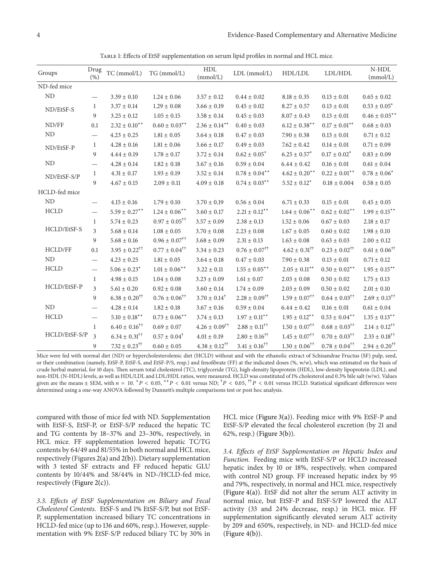Table 1: Effects of EtSF supplementation on serum lipid profiles in normal and HCL mice.

| Groups         | Drug<br>(% )                   | TC (mmol/L)                      | TG (mmol/L)                      | ${\rm HDL}$<br>(mmol/L)          | LDL (mmol/L)                     | HDL/LDL                          | LDL/HDL                          | $N$ -HDL<br>(mmol/L)             |
|----------------|--------------------------------|----------------------------------|----------------------------------|----------------------------------|----------------------------------|----------------------------------|----------------------------------|----------------------------------|
| ND-fed mice    |                                |                                  |                                  |                                  |                                  |                                  |                                  |                                  |
| ND             |                                | $3.39 \pm 0.10$                  | $1.24 \pm 0.06$                  | $3.57 \pm 0.12$                  | $0.44 \pm 0.02$                  | $8.18 \pm 0.35$                  | $0.13 \pm 0.01$                  | $0.65 \pm 0.02$                  |
| ND/EtSF-S      | $\mathbf{1}$                   | $3.37\pm0.14$                    | $1.29 \pm 0.08$                  | $3.66 \pm 0.19$                  | $0.45 \pm 0.02$                  | $8.27 \pm 0.57$                  | $0.13\pm0.01$                    | $0.53\pm0.05^*$                  |
|                | 9                              | $3.25\pm0.12$                    | $1.05 \pm 0.15$                  | $3.58 \pm 0.14$                  | $0.45 \pm 0.03$                  | $8.07 \pm 0.43$                  | $0.13 \pm 0.01$                  | $0.46 \pm 0.05$ **               |
| ND/FF          | 0.1                            | $2.32 \pm 0.10$ **               | $0.60 \pm 0.03***$               | $2.36 \pm 0.14***$               | $0.40\pm0.03$                    | $6.12 \pm 0.38$ **               | $0.17 \pm 0.01***$               | $0.68 \pm 0.03$                  |
| ND             |                                | $4.23 \pm 0.25$                  | $1.81 \pm 0.05$                  | $3.64\pm0.18$                    | $0.47 \pm 0.03$                  | $7.90 \pm 0.38$                  | $0.13 \pm 0.01$                  | $0.71\pm0.12$                    |
| ND/EtSF-P      | $\mathbf{1}$                   | $4.28 \pm 0.16$                  | $1.81 \pm 0.06$                  | $3.66 \pm 0.17$                  | $0.49 \pm 0.03$                  | $7.62 \pm 0.42$                  | $0.14 \pm 0.01$                  | $0.71\pm0.09$                    |
|                | 9                              | $4.44 \pm 0.19$                  | $1.78 \pm 0.17$                  | $3.72 \pm 0.14$                  | $0.62 \pm 0.05^*$                | $6.25 \pm 0.57^*$                | $0.17 \pm 0.02^*$                | $0.83 \pm 0.09$                  |
| ND             |                                | $4.28 \pm 0.14$                  | $1.82 \pm 0.18$                  | $3.67 \pm 0.16$                  | $0.59 \pm 0.04$                  | $6.44 \pm 0.42$                  | $0.16 \pm 0.01$                  | $0.61\pm0.04$                    |
| ND/EtSF-S/P    | $\mathbf{1}$                   | $4.31 \pm 0.17$                  | $1.93 \pm 0.19$                  | $3.52 \pm 0.14$                  | $0.78 \pm 0.04***$               | $4.62 \pm 0.20$ <sup>**</sup>    | $0.22 \pm 0.01***$               | $0.78 \pm 0.06^*$                |
|                | 9                              | $4.67 \pm 0.15$                  | $2.09 \pm 0.11$                  | $4.09 \pm 0.18$                  | $0.74 \pm 0.03$ **               | $5.52 \pm 0.12^*$                | $0.18 \pm 0.004$                 | $0.58 \pm 0.05$                  |
| HCLD-fed mice  |                                |                                  |                                  |                                  |                                  |                                  |                                  |                                  |
| N <sub>D</sub> |                                | $4.15 \pm 0.16$                  | $1.79 \pm 0.10$                  | $3.70 \pm 0.19$                  | $0.56 \pm 0.04$                  | $6.71 \pm 0.33$                  | $0.15 \pm 0.01$                  | $0.45 \pm 0.05$                  |
| <b>HCLD</b>    |                                | $5.59 \pm 0.27^{**}$             | $1.24 \pm 0.06$ **               | $3.60 \pm 0.17$                  | $2.21 \pm 0.12$ <sup>**</sup>    | $1.64 \pm 0.06$ **               | $0.62 \pm 0.02$ **               | $1.99 \pm 0.15***$               |
|                | 1                              | $5.74 \pm 0.23$                  | $0.97 \pm 0.05^{\dagger\dagger}$ | $3.57 \pm 0.09$                  | $2.38 \pm 0.13$                  | $1.52 \pm 0.06$                  | $0.67 \pm 0.03$                  | $2.18 \pm 0.17$                  |
| HCLD/EtSF-S    | $\overline{3}$                 | $5.68 \pm 0.14$                  | $1.08\pm0.05$                    | $3.70 \pm 0.08$                  | $2.23 \pm 0.08$                  | $1.67 \pm 0.05$                  | $0.60\pm0.02$                    | $1.98 \pm 0.10$                  |
|                | 9                              | $5.68 \pm 0.16$                  | $0.96 \pm 0.07^{\dagger\dagger}$ | $3.68 \pm 0.09$                  | $2.31 \pm 0.13$                  | $1.63 \pm 0.08$                  | $0.63 \pm 0.03$                  | $2.00 \pm 0.12$                  |
| HCLD/FF        | 0.1                            | $3.95 \pm 0.22^{\dagger\dagger}$ | $0.77 \pm 0.04^{\dagger\dagger}$ | $3.34 \pm 0.23$                  | $0.76 \pm 0.07^{\dagger\dagger}$ | $4.62 \pm 0.31^{\dagger\dagger}$ | $0.23 \pm 0.02^{\dagger\dagger}$ | $0.61 \pm 0.06^{\dagger\dagger}$ |
| ND             | $\qquad \qquad \longleftarrow$ | $4.23 \pm 0.25$                  | $1.81 \pm 0.05$                  | $3.64 \pm 0.18$                  | $0.47\pm0.03$                    | $7.90 \pm 0.38$                  | $0.13\pm0.01$                    | $0.71 \pm 0.12$                  |
| <b>HCLD</b>    |                                | $5.06 \pm 0.23$ <sup>*</sup>     | $1.01 \pm 0.06***$               | $3.22\pm0.11$                    | $1.55 \pm 0.05$ **               | $2.05\pm0.11^{**}$               | $0.50 \pm 0.02$ **               | $1.95 \pm 0.15***$               |
|                | $\mathbf{1}$                   | $4.98 \pm 0.15$                  | $1.04 \pm 0.08$                  | $3.23 \pm 0.09$                  | $1.61\pm0.07$                    | $2.03\pm0.08$                    | $0.50 \pm 0.02$                  | $1.75\pm0.13$                    |
| HCLD/EtSF-P    | $\overline{3}$                 | $5.61 \pm 0.20$                  | $0.92 \pm 0.08$                  | $3.60 \pm 0.14$                  | $1.74 \pm 0.09$                  | $2.03 \pm 0.09$                  | $0.50 \pm 0.02$                  | $2.01\pm0.10$                    |
|                | 9                              | $6.38 \pm 0.20^{1\dagger}$       | $0.76 \pm 0.06^{\dagger\dagger}$ | $3.70 \pm 0.14^{\dagger}$        | $2.28 \pm 0.09^{\dagger\dagger}$ | $1.59 \pm 0.07^{\dagger\dagger}$ | $0.64 \pm 0.03^{\dagger\dagger}$ | $2.69 \pm 0.13^{\dagger\dagger}$ |
| ND             |                                | $4.28 \pm 0.14$                  | $1.82 \pm 0.18$                  | $3.67 \pm 0.16$                  | $0.59 \pm 0.04$                  | $6.44 \pm 0.42$                  | $0.16\pm0.01$                    | $0.61 \pm 0.04$                  |
| <b>HCLD</b>    |                                | $5.10\pm0.18^{\ast\ast}$         | $0.73 \pm 0.06$ **               | $3.74\pm0.13$                    | $1.97 \pm 0.11***$               | $1.95\pm0.12^{**}$               | $0.53 \pm 0.04$ **               | $1.35\pm0.13$ $^{**}$            |
|                | $\mathbf{1}$                   | $6.40 \pm 0.16^{\dagger\dagger}$ | $0.69 \pm 0.07$                  | $4.26 \pm 0.09^{\dagger\dagger}$ | $2.88 \pm 0.11^{\dagger\dagger}$ | $1.50 \pm 0.07^{\dagger\dagger}$ | $0.68 \pm 0.03^{\dagger\dagger}$ | $2.14 \pm 0.12^{++}$             |
| HCLD/EtSF-S/P  | 3                              | $6.34 \pm 0.31^{\dagger\dagger}$ | $0.57 \pm 0.04^{\dagger}$        | $4.01\pm0.19$                    | $2.80 \pm 0.16^{\dagger\dagger}$ | $1.45 \pm 0.07^{\dagger\dagger}$ | $0.70 \pm 0.03^{\dagger\dagger}$ | $2.33\pm0.18^{\dagger\dagger}$   |
|                | 9                              | $7.32 \pm 0.23^{\dagger\dagger}$ | $0.60 \pm 0.05$                  | $4.38 \pm 0.12^{\dagger\dagger}$ | $3.41 \pm 0.16^{\dagger\dagger}$ | $1.30 \pm 0.06^{\dagger\dagger}$ | $0.78 \pm 0.04^{\dagger\dagger}$ | $2.94 \pm 0.20^{11}$             |

Mice were fed with normal diet (ND) or hypercholesterolemic diet (HCLD) without and with the ethanolic extract of Schisandrae Fructus (SF) pulp, seed, or their combination (namely, EtSF-P, EtSF-S, and EtSF-P/S, resp.) and fenofibrate (FF) at the indicated doses (%, w/w), which was estimated on the basis of crude herbal material, for 10 days. Then serum total cholesterol (TC), triglyceride (TG), high-density lipoprotein (HDL), low-density lipoprotein (LDL), and non-HDL (N-HDL) levels, as well as HDL/LDL and LDL/HDL ratios, were measured. HCLD was constituted of 1% cholesterol and 0.3% bile salt (w/w). Values given are the means  $\pm$  SEM, with  $n = 10$ .  ${}^{*}P < 0.05$ ,  ${}^{**}P < 0.01$  versus ND;  ${}^{^{\dagger}}P < 0.05$ ,  ${}^{^{\dagger}*P} < 0.01$  versus HCLD. Statistical significant differences were determined using a one-way ANOVA followed by Dunnett's multiple comparisons test or post hoc analysis.

compared with those of mice fed with ND. Supplementation with EtSF-S, EtSF-P, or EtSF-S/P reduced the hepatic TC and TG contents by 18–37% and 23–30%, respectively, in HCL mice. FF supplementation lowered hepatic TC/TG contents by 64/49 and 81/55% in both normal and HCL mice, respectively (Figures 2(a) and 2(b)). Dietary supplementation with 3 tested SF extracts and FF reduced hepatic GLU contents by 10/44% and 58/44% in ND-/HCLD-fed mice, respectively (Figure 2(c)).

*3.3. Effects of EtSF Supplementation on Biliary and Fecal Cholesterol Contents.* EtSF-S and 1% EtSF-S/P, but not EtSF-P, supplementation increased biliary TC concentrations in HCLD-fed mice (up to 136 and 60%, resp.). However, supplementation with 9% EtSF-S/P reduced biliary TC by 30% in HCL mice (Figure 3(a)). Feeding mice with 9% EtSF-P and EtSF-S/P elevated the fecal cholesterol excretion (by 21 and 62%, resp.) (Figure 3(b)).

*3.4. Effects of EtSF Supplementation on Hepatic Index and Function.* Feeding mice with EtSF-S/P or HCLD increased hepatic index by 10 or 18%, respectively, when compared with control ND group. FF increased hepatic index by 95 and 79%, respectively, in normal and HCL mice, respectively (Figure 4(a)). EtSF did not alter the serum ALT activity in normal mice, but EtSF-P and EtSF-S/P lowered the ALT activity (33 and 24% decrease, resp.) in HCL mice. FF supplementation significantly elevated serum ALT activity by 209 and 650%, respectively, in ND- and HCLD-fed mice  $(Figure 4(b)).$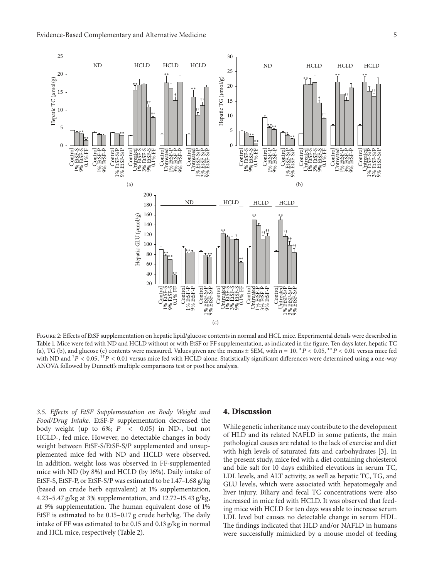

FIGURE 2: Effects of EtSF supplementation on hepatic lipid/glucose contents in normal and HCL mice. Experimental details were described in Table 1. Mice were fed with ND and HCLD without or with EtSF or FF supplementation, as indicated in the figure. Ten days later, hepatic TC (a), TG (b), and glucose (c) contents were measured. Values given are the means  $\pm$  SEM, with  $n = 10$ . \*  $P < 0.05$ , \*\*  $P < 0.01$  versus mice fed with ND and  $^{\dagger}P$  < 0.05,  $^{\dagger\dagger}P$  < 0.01 versus mice fed with HCLD alone. Statistically significant differences were determined using a one-way ANOVA followed by Dunnett's multiple comparisons test or post hoc analysis.

*3.5. Effects of EtSF Supplementation on Body Weight and Food/Drug Intake.* EtSF-P supplementation decreased the body weight (up to 6%;  $P \leq 0.05$ ) in ND-, but not HCLD-, fed mice. However, no detectable changes in body weight between EtSF-S/EtSF-S/P supplemented and unsupplemented mice fed with ND and HCLD were observed. In addition, weight loss was observed in FF-supplemented mice with ND (by 8%) and HCLD (by 16%). Daily intake of EtSF-S, EtSF-P, or EtSF-S/P was estimated to be 1.47–1.68 g/kg (based on crude herb equivalent) at 1% supplementation, 4.23–5.47 g/kg at 3% supplementation, and 12.72–15.43 g/kg, at 9% supplementation. The human equivalent dose of 1% EtSF is estimated to be 0.15–0.17 g crude herb/kg. The daily intake of FF was estimated to be 0.15 and 0.13 g/kg in normal and HCL mice, respectively (Table 2).

#### **4. Discussion**

While genetic inheritance may contribute to the development of HLD and its related NAFLD in some patients, the main pathological causes are related to the lack of exercise and diet with high levels of saturated fats and carbohydrates [3]. In the present study, mice fed with a diet containing cholesterol and bile salt for 10 days exhibited elevations in serum TC, LDL levels, and ALT activity, as well as hepatic TC, TG, and GLU levels, which were associated with hepatomegaly and liver injury. Biliary and fecal TC concentrations were also increased in mice fed with HCLD. It was observed that feeding mice with HCLD for ten days was able to increase serum LDL level but causes no detectable change in serum HDL. The findings indicated that HLD and/or NAFLD in humans were successfully mimicked by a mouse model of feeding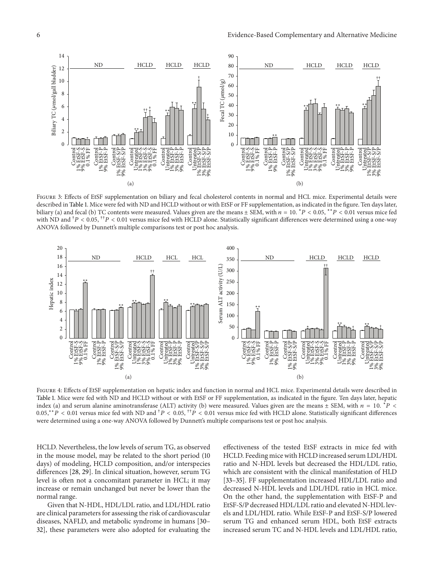

FIGURE 3: Effects of EtSF supplementation on biliary and fecal cholesterol contents in normal and HCL mice. Experimental details were described in Table 1. Mice were fed with ND and HCLD without or with EtSF or FF supplementation, as indicated in the figure. Ten days later, biliary (a) and fecal (b) TC contents were measured. Values given are the means  $\pm$  SEM, with  $n = 10$ .  $*P < 0.05$ ,  $*P < 0.01$  versus mice fed with ND and  $^{\dagger}P$  < 0.05,  $^{\dagger\dagger}P$  < 0.01 versus mice fed with HCLD alone. Statistically significant differences were determined using a one-way ANOVA followed by Dunnett's multiple comparisons test or post hoc analysis.



Figure 4: Effects of EtSF supplementation on hepatic index and function in normal and HCL mice. Experimental details were described in Table 1. Mice were fed with ND and HCLD without or with EtSF or FF supplementation, as indicated in the figure. Ten days later, hepatic index (a) and serum alanine aminotransferase (ALT) activity (b) were measured. Values given are the means  $\pm$  SEM, with  $n = 10$ .  $*P$  < 0.05,\*\*P < 0.01 versus mice fed with ND and  $^{\dagger}P$  < 0.05,  $^{\dagger\dagger}P$  < 0.01 versus mice fed with HCLD alone. Statistically significant differences were determined using a one-way ANOVA followed by Dunnett's multiple comparisons test or post hoc analysis.

HCLD. Nevertheless, the low levels of serum TG, as observed in the mouse model, may be related to the short period (10 days) of modeling, HCLD composition, and/or interspecies differences [28, 29]. In clinical situation, however, serum TG level is often not a concomitant parameter in HCL; it may increase or remain unchanged but never be lower than the normal range.

Given that N-HDL, HDL/LDL ratio, and LDL/HDL ratio are clinical parameters for assessing the risk of cardiovascular diseases, NAFLD, and metabolic syndrome in humans [30– 32], these parameters were also adopted for evaluating the

effectiveness of the tested EtSF extracts in mice fed with HCLD. Feeding mice with HCLD increased serum LDL/HDL ratio and N-HDL levels but decreased the HDL/LDL ratio, which are consistent with the clinical manifestation of HLD [33–35]. FF supplementation increased HDL/LDL ratio and decreased N-HDL levels and LDL/HDL ratio in HCL mice. On the other hand, the supplementation with EtSF-P and EtSF-S/P decreased HDL/LDL ratio and elevated N-HDL levels and LDL/HDL ratio. While EtSF-P and EtSF-S/P lowered serum TG and enhanced serum HDL, both EtSF extracts increased serum TC and N-HDL levels and LDL/HDL ratio,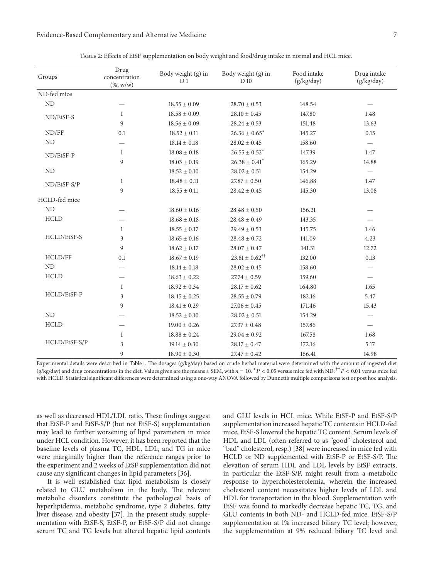| Groups        | Drug<br>concentration<br>$(\% , w/w)$ | Body weight (g) in<br>D <sub>1</sub> | Body weight (g) in<br>D 10      | Food intake<br>(g/kg/day) | Drug intake<br>(g/kg/day) |
|---------------|---------------------------------------|--------------------------------------|---------------------------------|---------------------------|---------------------------|
| ND-fed mice   |                                       |                                      |                                 |                           |                           |
| ND            |                                       | $18.55 \pm 0.09$                     | $28.70 \pm 0.53$                | 148.54                    |                           |
| ND/EtSF-S     | $\mathbf{1}$                          | $18.58 \pm 0.09$                     | $28.10 \pm 0.45$                | 147.80                    | 1.48                      |
|               | $\overline{9}$                        | $18.56 \pm 0.09$                     | $28.24 \pm 0.53$                | 151.48                    | 13.63                     |
| ND/FF         | 0.1                                   | $18.52 \pm 0.11$                     | $26.36 \pm 0.65^*$              | 145.27                    | 0.15                      |
| ND            |                                       | $18.14 \pm 0.18$                     | $28.02 \pm 0.45$                | 158.60                    | $\overline{\phantom{m}}$  |
| ND/EtSF-P     | $\mathbf{1}$                          | $18.08 \pm 0.18$                     | $26.55 \pm 0.52^*$              | 147.39                    | 1.47                      |
|               | 9                                     | $18.03 \pm 0.19$                     | $26.38 \pm 0.41^*$              | 165.29                    | 14.88                     |
| ND            |                                       | $18.52 \pm 0.10$                     | $28.02 \pm 0.51$                | 154.29                    | $\overline{\phantom{m}}$  |
| ND/EtSF-S/P   | 1                                     | $18.48 \pm 0.11$                     | $27.87 \pm 0.50$                | 146.88                    | 1.47                      |
|               | 9                                     | $18.55\pm0.11$                       | $28.42 \pm 0.45$                | 145.30                    | 13.08                     |
| HCLD-fed mice |                                       |                                      |                                 |                           |                           |
| ND            |                                       | $18.60 \pm 0.16$                     | $28.48 \pm 0.50$                | 156.21                    |                           |
| <b>HCLD</b>   |                                       | $18.68 \pm 0.18$                     | $28.48 \pm 0.49$                | 143.35                    |                           |
|               | $\mathbf{1}$                          | $18.55 \pm 0.17$                     | $29.49 \pm 0.53$                | 145.75                    | 1.46                      |
| HCLD/EtSF-S   | 3                                     | $18.65\pm0.16$                       | $28.48 \pm 0.72$                | 141.09                    | 4.23                      |
|               | 9                                     | $18.62 \pm 0.17$                     | $28.07 \pm 0.47$                | 141.31                    | 12.72                     |
| HCLD/FF       | 0.1                                   | $18.67 \pm 0.19$                     | $23.81\pm0.62^{\dagger\dagger}$ | 132.00                    | 0.13                      |
| ND            |                                       | $18.14 \pm 0.18$                     | $28.02 \pm 0.45$                | 158.60                    | $\overline{\phantom{0}}$  |
| <b>HCLD</b>   |                                       | $18.63 \pm 0.22$                     | $27.74 \pm 0.59$                | 159.60                    |                           |
|               | $\mathbf{1}$                          | $18.92 \pm 0.34$                     | $28.17 \pm 0.62$                | 164.80                    | 1.65                      |
| HCLD/EtSF-P   | 3                                     | $18.45 \pm 0.25$                     | $28.55 \pm 0.79$                | 182.16                    | 5.47                      |
|               | 9                                     | $18.41 \pm 0.29$                     | $27.06 \pm 0.45$                | 171.46                    | 15.43                     |
| ND            |                                       | $18.52 \pm 0.10$                     | $28.02 \pm 0.51$                | 154.29                    |                           |
| <b>HCLD</b>   |                                       | $19.00 \pm 0.26$                     | $27.37 \pm 0.48$                | 157.86                    |                           |
| HCLD/EtSF-S/P | $\mathbf{1}$                          | $18.88 \pm 0.24$                     | $29.04 \pm 0.92$                | 167.58                    | 1.68                      |
|               | 3                                     | $19.14 \pm 0.30$                     | $28.17 \pm 0.47$                | 172.16                    | 5.17                      |
|               | 9                                     | $18.90\pm0.30$                       | $27.47 \pm 0.42$                | 166.41                    | 14.98                     |

Table 2: Effects of EtSF supplementation on body weight and food/drug intake in normal and HCL mice.

Experimental details were described in Table 1. The dosages (g/kg/day) based on crude herbal material were determined with the amount of ingested diet (g/kg/day) and drug concentrations in the diet. Values given are the means  $\pm$  SEM, with  $n = 10$ .  $^*P < 0.05$  versus mice fed with ND;  $^{\dagger\dagger}P < 0.01$  versus mice fed with HCLD. Statistical significant differences were determined using a one-way ANOVA followed by Dunnett's multiple comparisons test or post hoc analysis.

as well as decreased HDL/LDL ratio. These findings suggest that EtSF-P and EtSF-S/P (but not EtSF-S) supplementation may lead to further worsening of lipid parameters in mice under HCL condition. However, it has been reported that the baseline levels of plasma TC, HDL, LDL, and TG in mice were marginally higher than the reference ranges prior to the experiment and 2 weeks of EtSF supplementation did not cause any significant changes in lipid parameters [36].

It is well established that lipid metabolism is closely related to GLU metabolism in the body. The relevant metabolic disorders constitute the pathological basis of hyperlipidemia, metabolic syndrome, type 2 diabetes, fatty liver disease, and obesity [37]. In the present study, supplementation with EtSF-S, EtSF-P, or EtSF-S/P did not change serum TC and TG levels but altered hepatic lipid contents

and GLU levels in HCL mice. While EtSF-P and EtSF-S/P supplementation increased hepatic TC contents in HCLD-fed mice, EtSF-S lowered the hepatic TC content. Serum levels of HDL and LDL (often referred to as "good" cholesterol and "bad" cholesterol, resp.) [38] were increased in mice fed with HCLD or ND supplemented with EtSF-P or EtSF-S/P. The elevation of serum HDL and LDL levels by EtSF extracts, in particular the EtSF-S/P, might result from a metabolic response to hypercholesterolemia, wherein the increased cholesterol content necessitates higher levels of LDL and HDL for transportation in the blood. Supplementation with EtSF was found to markedly decrease hepatic TC, TG, and GLU contents in both ND- and HCLD-fed mice. EtSF-S/P supplementation at 1% increased biliary TC level; however, the supplementation at 9% reduced biliary TC level and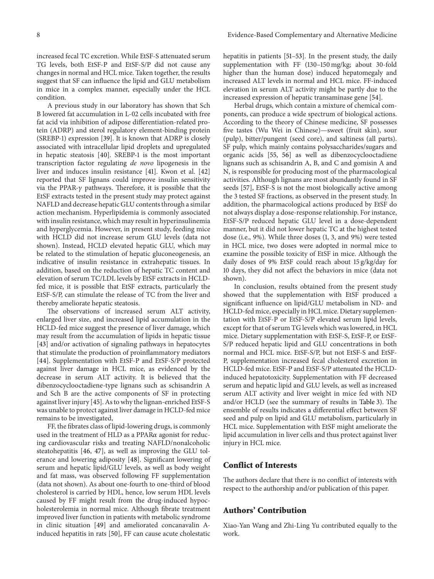increased fecal TC excretion. While EtSF-S attenuated serum TG levels, both EtSF-P and EtSF-S/P did not cause any changes in normal and HCL mice. Taken together, the results suggest that SF can influence the lipid and GLU metabolism in mice in a complex manner, especially under the HCL condition.

A previous study in our laboratory has shown that Sch B lowered fat accumulation in L-02 cells incubated with free fat acid via inhibition of adipose differentiation-related protein (ADRP) and sterol regulatory element-binding protein (SREBP-1) expression [39]. It is known that ADRP is closely associated with intracellular lipid droplets and upregulated in hepatic steatosis [40]. SREBP-1 is the most important transcription factor regulating *de novo* lipogenesis in the liver and induces insulin resistance [41]. Kwon et al. [42] reported that SF lignans could improve insulin sensitivity via the PPAR- $\gamma$  pathways. Therefore, it is possible that the EtSF extracts tested in the present study may protect against NAFLD and decrease hepatic GLU contents through a similar action mechanism. Hyperlipidemia is commonly associated with insulin resistance, which may result in hyperinsulinemia and hyperglycemia. However, in present study, feeding mice with HCLD did not increase serum GLU levels (data not shown). Instead, HCLD elevated hepatic GLU, which may be related to the stimulation of hepatic gluconeogenesis, an indicative of insulin resistance in extrahepatic tissues. In addition, based on the reduction of hepatic TC content and elevation of serum TC/LDL levels by EtSF extracts in HCLDfed mice, it is possible that EtSF extracts, particularly the EtSF-S/P, can stimulate the release of TC from the liver and thereby ameliorate hepatic steatosis.

The observations of increased serum ALT activity, enlarged liver size, and increased lipid accumulation in the HCLD-fed mice suggest the presence of liver damage, which may result from the accumulation of lipids in hepatic tissue [43] and/or activation of signaling pathways in hepatocytes that stimulate the production of proinflammatory mediators [44]. Supplementation with EtSF-P and EtSF-S/P protected against liver damage in HCL mice, as evidenced by the decrease in serum ALT activity. It is believed that the dibenzocyclooctadiene-type lignans such as schisandrin A and Sch B are the active components of SF in protecting against liver injury [45]. As to why the lignan-enriched EtSF-S was unable to protect against liver damage in HCLD-fed mice remains to be investigated,

FF, the fibrates class of lipid-lowering drugs, is commonly used in the treatment of HLD as a PPAR $\alpha$  agonist for reducing cardiovascular risks and treating NAFLD/nonalcoholic steatohepatitis [46, 47], as well as improving the GLU tolerance and lowering adiposity [48]. Significant lowering of serum and hepatic lipid/GLU levels, as well as body weight and fat mass, was observed following FF supplementation (data not shown). As about one-fourth to one-third of blood cholesterol is carried by HDL, hence, low serum HDL levels caused by FF might result from the drug-induced hypocholesterolemia in normal mice. Although fibrate treatment improved liver function in patients with metabolic syndrome in clinic situation [49] and ameliorated concanavalin Ainduced hepatitis in rats [50], FF can cause acute cholestatic

hepatitis in patients [51–53]. In the present study, the daily supplementation with FF (130–150 mg/kg; about 30-fold higher than the human dose) induced hepatomegaly and increased ALT levels in normal and HCL mice. FF-induced elevation in serum ALT activity might be partly due to the increased expression of hepatic transaminase gene [54].

Herbal drugs, which contain a mixture of chemical components, can produce a wide spectrum of biological actions. According to the theory of Chinese medicine, SF possesses five tastes (Wu Wei in Chinese)—sweet (fruit skin), sour (pulp), bitter/pungent (seed core), and saltiness (all parts). SF pulp, which mainly contains polysaccharides/sugars and organic acids [55, 56] as well as dibenzocyclooctadiene lignans such as schisandrin A, B, and C and gomisin A and N, is responsible for producing most of the pharmacological activities. Although lignans are most abundantly found in SF seeds [57], EtSF-S is not the most biologically active among the 3 tested SF fractions, as observed in the present study. In addition, the pharmacological actions produced by EtSF do not always display a dose-response relationship. For instance, EtSF-S/P reduced hepatic GLU level in a dose-dependent manner, but it did not lower hepatic TC at the highest tested dose (i.e., 9%). While three doses (1, 3, and 9%) were tested in HCL mice, two doses were adopted in normal mice to examine the possible toxicity of EtSF in mice. Although the daily doses of 9% EtSF could reach about 15 g/kg/day for 10 days, they did not affect the behaviors in mice (data not shown).

In conclusion, results obtained from the present study showed that the supplementation with EtSF produced a significant influence on lipid/GLU metabolism in ND- and HCLD-fed mice, especially in HCL mice. Dietary supplementation with EtSF-P or EtSF-S/P elevated serum lipid levels, except for that of serum TG levels which was lowered, in HCL mice. Dietary supplementation with EtSF-S, EtSF-P, or EtSF-S/P reduced hepatic lipid and GLU concentrations in both normal and HCL mice. EtSF-S/P, but not EtSF-S and EtSF-P, supplementation increased fecal cholesterol excretion in HCLD-fed mice. EtSF-P and EtSF-S/P attenuated the HCLDinduced hepatotoxicity. Supplementation with FF decreased serum and hepatic lipid and GLU levels, as well as increased serum ALT activity and liver weight in mice fed with ND and/or HCLD (see the summary of results in Table 3). The ensemble of results indicates a differential effect between SF seed and pulp on lipid and GLU metabolism, particularly in HCL mice. Supplementation with EtSF might ameliorate the lipid accumulation in liver cells and thus protect against liver injury in HCL mice.

# **Conflict of Interests**

The authors declare that there is no conflict of interests with respect to the authorship and/or publication of this paper.

## **Authors' Contribution**

Xiao-Yan Wang and Zhi-Ling Yu contributed equally to the work.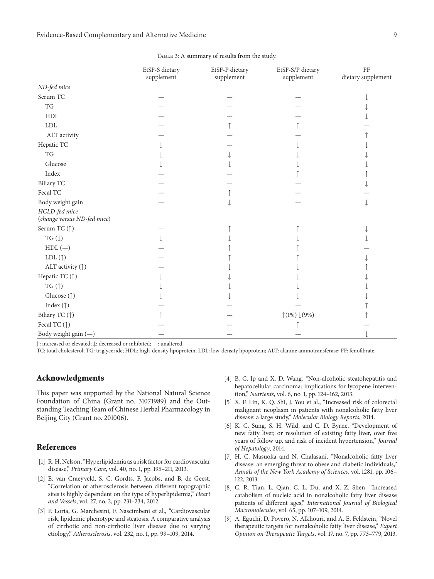|                                              | EtSF-S dietary<br>supplement | EtSF-P dietary<br>supplement | EtSF-S/P dietary<br>supplement    | FF<br>dietary supplement |
|----------------------------------------------|------------------------------|------------------------------|-----------------------------------|--------------------------|
| ND-fed mice                                  |                              |                              |                                   |                          |
| Serum TC                                     |                              |                              |                                   |                          |
| TG                                           |                              |                              |                                   |                          |
| ${\rm HDL}$                                  |                              |                              |                                   |                          |
| ${\rm LDL}$                                  |                              |                              |                                   |                          |
| ALT activity                                 |                              |                              |                                   |                          |
| Hepatic TC                                   |                              |                              |                                   |                          |
| $\mathcal{T}\mathcal{G}$                     |                              |                              |                                   |                          |
| Glucose                                      |                              |                              |                                   |                          |
| Index                                        |                              |                              |                                   |                          |
| <b>Biliary TC</b>                            |                              |                              |                                   |                          |
| Fecal TC                                     |                              |                              |                                   |                          |
| Body weight gain                             |                              |                              |                                   |                          |
| HCLD-fed mice<br>(change versus ND-fed mice) |                              |                              |                                   |                          |
| Serum TC (↑)                                 |                              |                              |                                   |                          |
| TG $(\downarrow)$                            |                              |                              |                                   |                          |
| $HDL$ (-)                                    |                              |                              |                                   |                          |
| LDL $(\uparrow)$                             |                              |                              |                                   |                          |
| ALT activity (1)                             |                              |                              |                                   |                          |
| Hepatic TC (↑)                               |                              |                              |                                   |                          |
| TG $($ $\uparrow$                            |                              |                              |                                   |                          |
| Glucose (1)                                  |                              |                              |                                   |                          |
| Index $(\uparrow)$                           |                              |                              |                                   |                          |
| Biliary TC (1)                               |                              |                              | $\uparrow$ (1%) $\downarrow$ (9%) |                          |
| Fecal TC (1)                                 |                              |                              |                                   |                          |
| Body weight gain $(-)$                       |                              |                              |                                   |                          |

TABLE 3: A summary of results from the study.

↑: increased or elevated; ↓: decreased or inhibited; —: unaltered.

TC: total cholesterol; TG: triglyceride; HDL: high-density lipoprotein; LDL: low-density lipoprotein; ALT: alanine aminotransferase; FF: fenofibrate.

# **Acknowledgments**

This paper was supported by the National Natural Science Foundation of China (Grant no. 31071989) and the Outstanding Teaching Team of Chinese Herbal Pharmacology in Beijing City (Grant no. 201006).

# **References**

- [1] R. H. Nelson, "Hyperlipidemia as a risk factor for cardiovascular disease," *Primary Care*, vol. 40, no. 1, pp. 195–211, 2013.
- [2] E. van Craeyveld, S. C. Gordts, F. Jacobs, and B. de Geest, "Correlation of atherosclerosis between different topographic sites is highly dependent on the type of hyperlipidemia," *Heart and Vessels*, vol. 27, no. 2, pp. 231–234, 2012.
- [3] P. Loria, G. Marchesini, F. Nascimbeni et al., "Cardiovascular risk, lipidemic phenotype and steatosis. A comparative analysis of cirrhotic and non-cirrhotic liver disease due to varying etiology," *Atherosclerosis*, vol. 232, no. 1, pp. 99–109, 2014.
- [4] B. C. Ip and X. D. Wang, "Non-alcoholic steatohepatitis and hepatocellular carcinoma: implications for lycopene intervention," *Nutrients*, vol. 6, no. 1, pp. 124–162, 2013.
- [5] X. F. Lin, K. Q. Shi, J. You et al., "Increased risk of colorectal malignant neoplasm in patients with nonalcoholic fatty liver disease: a large study," *Molecular Biology Reports*, 2014.
- [6] K. C. Sung, S. H. Wild, and C. D. Byrne, "Development of new fatty liver, or resolution of existing fatty liver, over five years of follow up, and risk of incident hypertension," *Journal of Hepatology*, 2014.
- [7] H. C. Masuoka and N. Chalasani, "Nonalcoholic fatty liver disease: an emerging threat to obese and diabetic individuals," *Annals of the New York Academy of Sciences*, vol. 1281, pp. 106– 122, 2013.
- [8] C. R. Tian, L. Qian, C. L. Du, and X. Z. Shen, "Increased catabolism of nucleic acid in nonalcoholic fatty liver disease patients of different ages," *International Journal of Biological Macromolecules*, vol. 65, pp. 107–109, 2014.
- [9] A. Eguchi, D. Povero, N. Alkhouri, and A. E. Feldstein, "Novel therapeutic targets for nonalcoholic fatty liver disease," *Expert Opinion on Therapeutic Targets*, vol. 17, no. 7, pp. 773–779, 2013.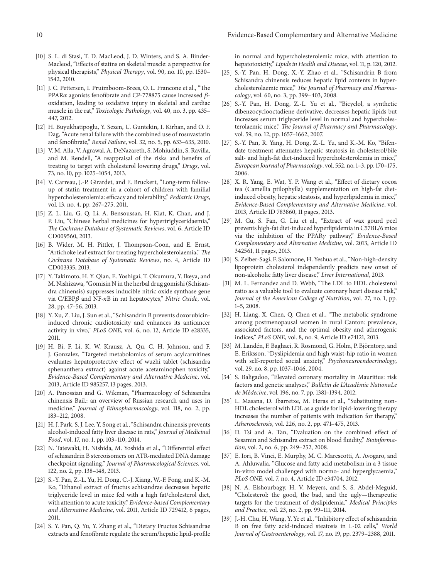- [10] S. L. di Stasi, T. D. MacLeod, J. D. Winters, and S. A. Binder-Macleod, "Effects of statins on skeletal muscle: a perspective for physical therapists," *Physical Therapy*, vol. 90, no. 10, pp. 1530– 1542, 2010.
- [11] J. C. Pettersen, I. Pruimboom-Brees, O. L. Francone et al., "The PPAR $\alpha$  agonists fenofibrate and CP-778875 cause increased  $\beta$ oxidation, leading to oxidative injury in skeletal and cardiac muscle in the rat," *Toxicologic Pathology*, vol. 40, no. 3, pp. 435– 447, 2012.
- [12] H. Buyukhatipoglu, Y. Sezen, U. Guntekin, I. Kirhan, and O. F. Dag, "Acute renal failure with the combined use of rosuvastatin and fenofibrate," *Renal Failure*, vol. 32, no. 5, pp. 633–635, 2010.
- [13] V. M. Alla, V. Agrawal, A. DeNazareth, S. Mohiuddin, S. Ravilla, and M. Rendell, "A reappraisal of the risks and benefits of treating to target with cholesterol lowering drugs," *Drugs*, vol. 73, no. 10, pp. 1025–1054, 2013.
- [14] V. Carreau, J.-P. Girardet, and E. Bruckert, "Long-term followup of statin treatment in a cohort of children with familial hypercholesterolemia: efficacy and tolerability," *Pediatric Drugs*, vol. 13, no. 4, pp. 267–275, 2011.
- [15] Z. L. Liu, G. Q. Li, A. Bensoussan, H. Kiat, K. Chan, and J. P. Liu, "Chinese herbal medicines for hypertriglyceridaemia," *The Cochrane Database of Systematic Reviews*, vol. 6, Article ID CD009560, 2013.
- [16] B. Wider, M. H. Pittler, J. Thompson-Coon, and E. Ernst, "Artichoke leaf extract for treating hypercholesterolaemia," *The Cochrane Database of Systematic Reviews*, no. 4, Article ID CD003335, 2013.
- [17] Y. Takimoto, H. Y. Qian, E. Yoshigai, T. Okumura, Y. Ikeya, and M. Nishizawa, "Gomisin N in the herbal drug gomishi (Schisandra chinensis) suppresses inducible nitric oxide synthase gene via C/EBPβ and NF-κB in rat hepatocytes," *Nitric Oxide*, vol. 28, pp. 47–56, 2013.
- [18] Y. Xu, Z. Liu, J. Sun et al., "Schisandrin B prevents doxorubicininduced chronic cardiotoxicity and enhances its anticancer activity in vivo," *PLoS ONE*, vol. 6, no. 12, Article ID e28335, 2011.
- [19] H. Bi, F. Li, K. W. Krausz, A. Qu, C. H. Johnson, and F. J. Gonzalez, "Targeted metabolomics of serum acylcarnitines evaluates hepatoprotective effect of wuzhi tablet (schisandra sphenanthera extract) against acute acetaminophen toxicity," *Evidence-Based Complementary and Alternative Medicine*, vol. 2013, Article ID 985257, 13 pages, 2013.
- [20] A. Panossian and G. Wikman, "Pharmacology of Schisandra chinensis Bail.: an overview of Russian research and uses in medicine," *Journal of Ethnopharmacology*, vol. 118, no. 2, pp. 183–212, 2008.
- [21] H. J. Park, S. J. Lee, Y. Song et al., "Schisandra chinensis prevents alcohol-induced fatty liver disease in rats," *Journal of Medicinal Food*, vol. 17, no. 1, pp. 103–110, 2014.
- [22] N. Tatewaki, H. Nishida, M. Yoshida et al., "Differential effect of schisandrin B stereoisomers on ATR-mediated DNA damage checkpoint signaling," *Journal of Pharmacological Sciences*, vol. 122, no. 2, pp. 138–148, 2013.
- [23] S.-Y. Pan, Z.-L. Yu, H. Dong, C.-J. Xiang, W.-F. Fong, and K.-M. Ko, "Ethanol extract of fructus schisandrae decreases hepatic triglyceride level in mice fed with a high fat/cholesterol diet, with attention to acute toxicity," *Evidence-based Complementary and Alternative Medicine*, vol. 2011, Article ID 729412, 6 pages, 2011.
- [24] S. Y. Pan, Q. Yu, Y. Zhang et al., "Dietary Fructus Schisandrae extracts and fenofibrate regulate the serum/hepatic lipid-profile

in normal and hypercholesterolemic mice, with attention to hepatotoxicity," *Lipids in Health and Disease*, vol. 11, p. 120, 2012.

- [25] S.-Y. Pan, H. Dong, X.-Y. Zhao et al., "Schisandrin B from Schisandra chinensis reduces hepatic lipid contents in hypercholesterolaemic mice," *The Journal of Pharmacy and Pharmacology*, vol. 60, no. 3, pp. 399–403, 2008.
- [26] S.-Y. Pan, H. Dong, Z.-L. Yu et al., "Bicyclol, a synthetic dibenzocyclooctadiene derivative, decreases hepatic lipids but increases serum triglyceride level in normal and hypercholesterolaemic mice," *The Journal of Pharmacy and Pharmacology*, vol. 59, no. 12, pp. 1657–1662, 2007.
- [27] S.-Y. Pan, R. Yang, H. Dong, Z.-L. Yu, and K.-M. Ko, "Bifendate treatment attenuates hepatic steatosis in cholesterol/bile salt- and high-fat diet-induced hypercholesterolemia in mice," *European Journal of Pharmacology*, vol. 552, no. 1–3, pp. 170–175, 2006.
- [28] X. R. Yang, E. Wat, Y. P. Wang et al., "Effect of dietary cocoa tea (Camellia ptilophylla) supplementation on high-fat dietinduced obesity, hepatic steatosis, and hyperlipidemia in mice," *Evidence-Based Complementary and Alternative Medicine*, vol. 2013, Article ID 783860, 11 pages, 2013.
- [29] M. Gu, S. Fan, G. Liu et al., "Extract of wax gourd peel prevents high-fat diet-induced hyperlipidemia in C57BL/6 mice via the inhibition of the PPAR<sub>Y</sub> pathway," *Evidence-Based Complementary and Alternative Medicine*, vol. 2013, Article ID 342561, 11 pages, 2013.
- [30] S. Zelber-Sagi, F. Salomone, H. Yeshua et al., "Non-high-density lipoprotein cholesterol independently predicts new onset of non-alcoholic fatty liver disease," *Liver International*, 2013.
- [31] M. L. Fernandez and D. Webb, "The LDL to HDL cholesterol ratio as a valuable tool to evaluate coronary heart disease risk," *Journal of the American College of Nutrition*, vol. 27, no. 1, pp. 1–5, 2008.
- [32] H. Liang, X. Chen, Q. Chen et al., "The metabolic syndrome among postmenopausal women in rural Canton: prevalence, associated factors, and the optimal obesity and atherogenic indices," *PLoS ONE*, vol. 8, no. 9, Article ID e74121, 2013.
- [33] M. Landén, F. Baghaei, R. Rosmond, G. Holm, P. Björntorp, and E. Eriksson, "Dyslipidemia and high waist-hip ratio in women with self-reported social anxiety," *Psychoneuroendocrinology*, vol. 29, no. 8, pp. 1037–1046, 2004.
- [34] S. Baligadoo, "Elevated coronary mortality in Mauritius: risk factors and genetic analyses," *Bulletin de L'Academie NationaLe ´ de Medecine ´* , vol. 196, no. 7, pp. 1381–1394, 2012.
- [35] L. Masana, D. Ibarretxe, M. Heras et al., "Substituting non-HDL cholesterol with LDL as a guide for lipid-lowering therapy increases the number of patients with indication for therapy," *Atherosclerosis*, vol. 226, no. 2, pp. 471–475, 2013.
- [36] D. Tsi and A. Tan, "Evaluation on the combined effect of Sesamin and Schisandra extract on blood fluidity," *Bioinformation*, vol. 2, no. 6, pp. 249–252, 2008.
- [37] E. Iori, B. Vinci, E. Murphy, M. C. Marescotti, A. Avogaro, and A. Ahluwalia, "Glucose and fatty acid metabolism in a 3 tissue in-vitro model challenged with normo- and hyperglycaemia," *PLoS ONE*, vol. 7, no. 4, Article ID e34704, 2012.
- [38] N. A. Elshourbagy, H. V. Meyers, and S. S. Abdel-Meguid, "Cholesterol: the good, the bad, and the ugly—therapeutic targets for the treatment of dyslipidemia," *Medical Principles and Practice*, vol. 23, no. 2, pp. 99–111, 2014.
- [39] J.-H. Chu, H. Wang, Y. Ye et al., "Inhibitory effect of schisandrin B on free fatty acid-induced steatosis in L-02 cells," *World Journal of Gastroenterology*, vol. 17, no. 19, pp. 2379–2388, 2011.